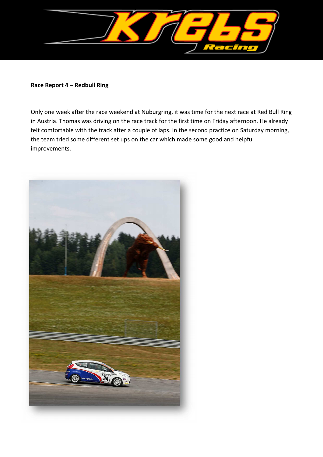

#### **Race Report 4 – Redbull Ring**

Only one week after the race weekend at Nüburgring, it was time for the next race at Red Bull Ring in Austria. Thomas was driving on the race track for the first time on Friday afternoon. He already felt comfortable with the track after a couple of laps. In the second practice on Saturday morning, the team tried some different set ups on the car which made some good and helpful improvements.

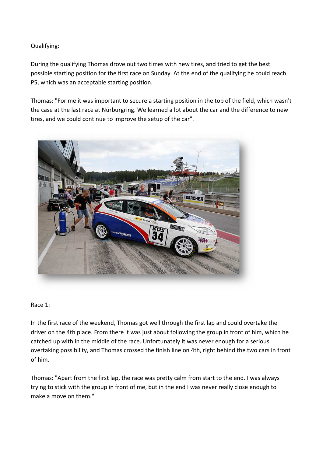# Qualifying:

During the qualifying Thomas drove out two times with new tires, and tried to get the best possible starting position for the first race on Sunday. At the end of the qualifying he could reach P5, which was an acceptable starting position.

Thomas: "For me it was important to secure a starting position in the top of the field, which wasn't the case at the last race at Nürburgring. We learned a lot about the car and the difference to new tires, and we could continue to improve the setup of the car".



### Race 1:

In the first race of the weekend, Thomas got well through the first lap and could overtake the driver on the 4th place. From there it was just about following the group in front of him, which he catched up with in the middle of the race. Unfortunately it was never enough for a serious overtaking possibility, and Thomas crossed the finish line on 4th, right behind the two cars in front of him.

Thomas: "Apart from the first lap, the race was pretty calm from start to the end. I was always trying to stick with the group in front of me, but in the end I was never really close enough to make a move on them."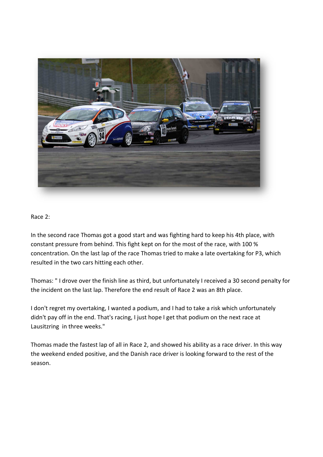

#### Race 2:

In the second race Thomas got a good start and was fighting hard to keep his 4th place, with constant pressure from behind. This fight kept on for the most of the race, with 100 % concentration. On the last lap of the race Thomas tried to make a late overtaking for P3, which resulted in the two cars hitting each other.

Thomas: " I drove over the finish line as third, but unfortunately I received a 30 second penalty for the incident on the last lap. Therefore the end result of Race 2 was an 8th place.

I don't regret my overtaking, I wanted a podium, and I had to take a risk which unfortunately didn't pay off in the end. That's racing, I just hope I get that podium on the next race at Lausitzring in three weeks."

Thomas made the fastest lap of all in Race 2, and showed his ability as a race driver. In this way the weekend ended positive, and the Danish race driver is looking forward to the rest of the season.